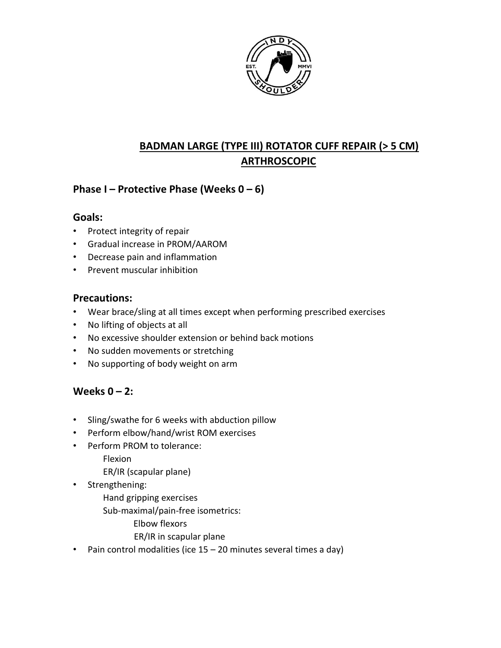

# **BADMAN LARGE (TYPE III) ROTATOR CUFF REPAIR (> 5 CM) ARTHROSCOPIC**

## **Phase I – Protective Phase (Weeks 0 – 6)**

### **Goals:**

- Protect integrity of repair
- Gradual increase in PROM/AAROM
- Decrease pain and inflammation
- Prevent muscular inhibition

#### **Precautions:**

- Wear brace/sling at all times except when performing prescribed exercises
- No lifting of objects at all
- No excessive shoulder extension or behind back motions
- No sudden movements or stretching
- No supporting of body weight on arm

## **Weeks 0 – 2:**

- Sling/swathe for 6 weeks with abduction pillow
- Perform elbow/hand/wrist ROM exercises
- Perform PROM to tolerance:
	- Flexion
	- ER/IR (scapular plane)
- Strengthening:
	- Hand gripping exercises
	- Sub-maximal/pain-free isometrics:
		- Elbow flexors
		- ER/IR in scapular plane
- Pain control modalities (ice 15 20 minutes several times a day)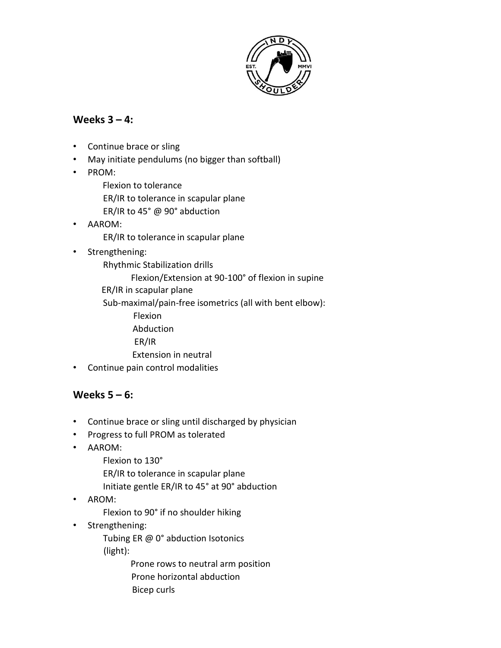

### **Weeks 3 – 4:**

- Continue brace or sling
- May initiate pendulums (no bigger than softball)
- PROM:
	- Flexion to tolerance
	- ER/IR to tolerance in scapular plane
	- ER/IR to 45° @ 90° abduction
- AAROM:
	- ER/IR to tolerance in scapular plane
- Strengthening:
	- Rhythmic Stabilization drills
		- Flexion/Extension at 90-100° of flexion in supine
	- ER/IR in scapular plane
	- Sub-maximal/pain-free isometrics (all with bent elbow):
		- Flexion
		- Abduction
		- ER/IR
		- Extension in neutral
- Continue pain control modalities

# **Weeks 5 – 6:**

- Continue brace or sling until discharged by physician
- Progress to full PROM as tolerated
- AAROM:
	- Flexion to 130°
	- ER/IR to tolerance in scapular plane
	- Initiate gentle ER/IR to 45° at 90° abduction
- AROM:
	- Flexion to 90° if no shoulder hiking
- Strengthening:
	- Tubing ER @ 0° abduction Isotonics (light):
		- Prone rows to neutral arm position Prone horizontal abduction Bicep curls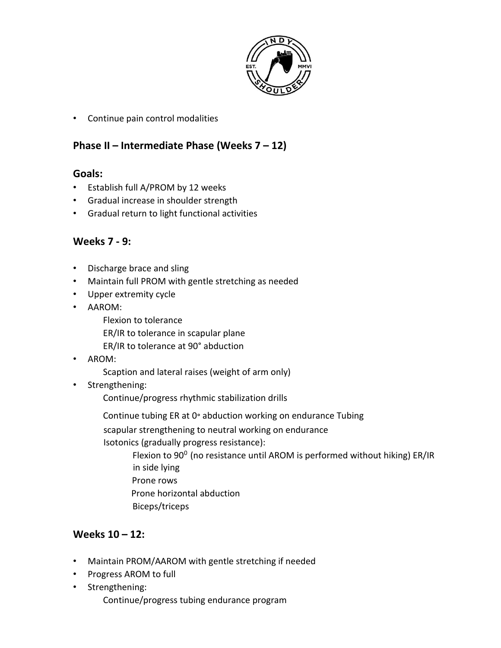

• Continue pain control modalities

# **Phase II – Intermediate Phase (Weeks 7 – 12)**

### **Goals:**

- Establish full A/PROM by 12 weeks
- Gradual increase in shoulder strength
- Gradual return to light functional activities

### **Weeks 7 - 9:**

- Discharge brace and sling
- Maintain full PROM with gentle stretching as needed
- Upper extremity cycle
- AAROM:
	- Flexion to tolerance
	- ER/IR to tolerance in scapular plane
	- ER/IR to tolerance at 90° abduction
- AROM:
	- Scaption and lateral raises (weight of arm only)
- Strengthening:
	- Continue/progress rhythmic stabilization drills
	- Continue tubing ER at 0° abduction working on endurance Tubing
	- scapular strengthening to neutral working on endurance
	- Isotonics (gradually progress resistance):
		- Flexion to  $90^0$  (no resistance until AROM is performed without hiking) ER/IR in side lying Prone rows Prone horizontal abduction
		- Biceps/triceps

## **Weeks 10 – 12:**

- Maintain PROM/AAROM with gentle stretching if needed
- Progress AROM to full
- Strengthening: Continue/progress tubing endurance program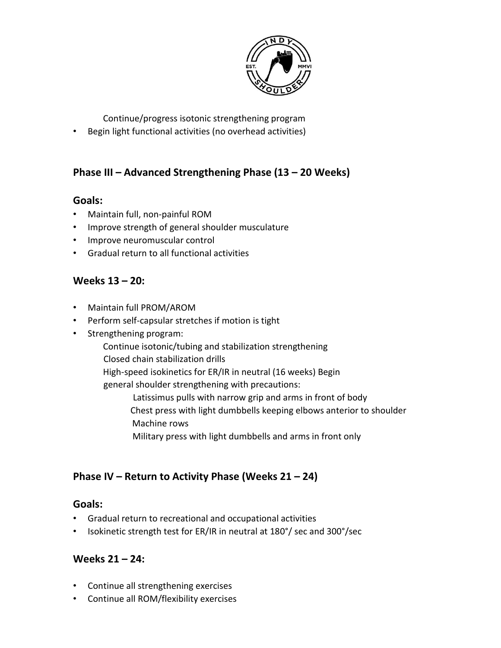

Continue/progress isotonic strengthening program

• Begin light functional activities (no overhead activities)

# **Phase III – Advanced Strengthening Phase (13 – 20 Weeks)**

### **Goals:**

- Maintain full, non-painful ROM
- Improve strength of general shoulder musculature
- Improve neuromuscular control
- Gradual return to all functional activities

### **Weeks 13 – 20:**

- Maintain full PROM/AROM
- Perform self-capsular stretches if motion is tight
- Strengthening program:
	- Continue isotonic/tubing and stabilization strengthening Closed chain stabilization drills
	- High-speed isokinetics for ER/IR in neutral (16 weeks) Begin
	- general shoulder strengthening with precautions:

Latissimus pulls with narrow grip and arms in front of body Chest press with light dumbbells keeping elbows anterior to shoulder Machine rows

Military press with light dumbbells and arms in front only

# **Phase IV – Return to Activity Phase (Weeks 21 – 24)**

### **Goals:**

- Gradual return to recreational and occupational activities
- Isokinetic strength test for ER/IR in neutral at 180°/ sec and 300°/sec

### **Weeks 21 – 24:**

- Continue all strengthening exercises
- Continue all ROM/flexibility exercises